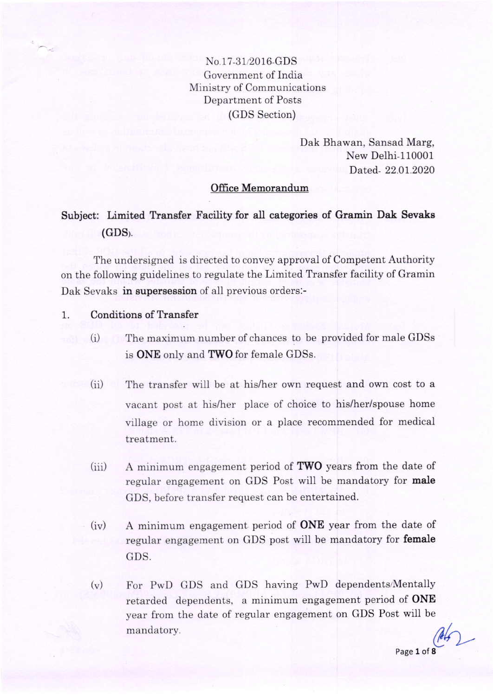No 17-312016-GDS Government of India Ministry of Communications Department of Posts (GDS Section)

> Dak Bhawan, Sansad Marg, New Delhi-l10001 Dated.- 22.01.2020

## Office Memorandum

## Subject: Limited Transfer Facility for all categories of Gramin Dak Sevaks  $(GDS)$ .

The undersigned is directed to convey approval of Competent Authority on the following guidelines to regulate the Limited Transfer facility of Gramin Dak Sevaks in supersession of all previous orders:-

## 1. Conditions of Transfer

- (i) The maximum number of chances to be provided for male GDSs is ONE only and TWO for female GDSs.
- (ii) The transfer will be at his/her own request and own cost to a vacant post at his/her place of choice to his/her/spouse home village or home division or a place recommended for medical treatment.
- $(iii)$  A minimum engagement period of **TWO** years from the date of regular engagement on GDS Post will be mandatory for male GDS, before transfer request can be entertained.
- (iv) A minimum engagement period of ONE year from the date of regular engagement on GDS post will be mandatory for female GDS.
- $(v)$ mandatory For PwD GDS and GDS having PwD dependents/Mentally retarded dependents, a minimum engagement period of **ONE** year from the date of regular engagement on GDS Post will be

 $462$ Page 1 of 8